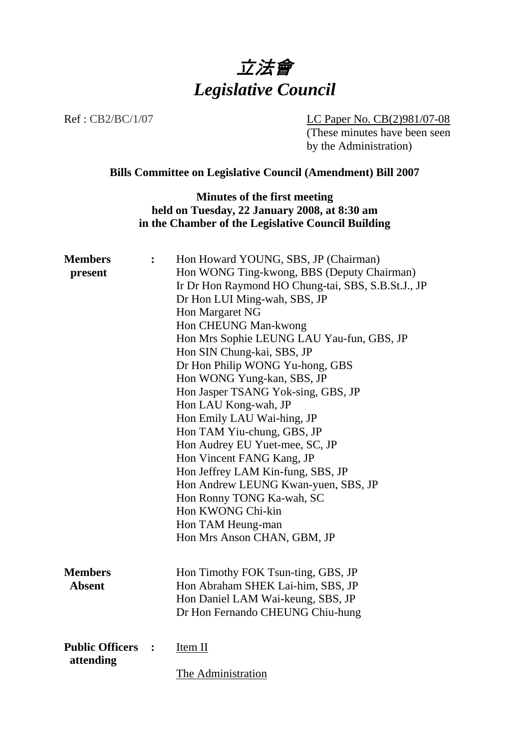

Ref : CB2/BC/1/07 LC Paper No. CB(2)981/07-08 (These minutes have been seen by the Administration)

# **Bills Committee on Legislative Council (Amendment) Bill 2007**

## **Minutes of the first meeting held on Tuesday, 22 January 2008, at 8:30 am in the Chamber of the Legislative Council Building**

| <b>Members</b>                      |                                            | Hon Howard YOUNG, SBS, JP (Chairman)               |
|-------------------------------------|--------------------------------------------|----------------------------------------------------|
| present                             | Hon WONG Ting-kwong, BBS (Deputy Chairman) |                                                    |
|                                     |                                            | Ir Dr Hon Raymond HO Chung-tai, SBS, S.B.St.J., JP |
|                                     |                                            | Dr Hon LUI Ming-wah, SBS, JP                       |
|                                     |                                            | Hon Margaret NG                                    |
|                                     |                                            | Hon CHEUNG Man-kwong                               |
|                                     |                                            | Hon Mrs Sophie LEUNG LAU Yau-fun, GBS, JP          |
|                                     |                                            | Hon SIN Chung-kai, SBS, JP                         |
|                                     |                                            | Dr Hon Philip WONG Yu-hong, GBS                    |
|                                     |                                            | Hon WONG Yung-kan, SBS, JP                         |
|                                     |                                            | Hon Jasper TSANG Yok-sing, GBS, JP                 |
|                                     |                                            | Hon LAU Kong-wah, JP                               |
|                                     |                                            | Hon Emily LAU Wai-hing, JP                         |
|                                     |                                            | Hon TAM Yiu-chung, GBS, JP                         |
|                                     |                                            | Hon Audrey EU Yuet-mee, SC, JP                     |
|                                     |                                            | Hon Vincent FANG Kang, JP                          |
|                                     |                                            | Hon Jeffrey LAM Kin-fung, SBS, JP                  |
|                                     |                                            | Hon Andrew LEUNG Kwan-yuen, SBS, JP                |
|                                     |                                            | Hon Ronny TONG Ka-wah, SC                          |
|                                     |                                            | Hon KWONG Chi-kin                                  |
|                                     |                                            | Hon TAM Heung-man                                  |
|                                     |                                            | Hon Mrs Anson CHAN, GBM, JP                        |
|                                     |                                            |                                                    |
|                                     |                                            |                                                    |
| <b>Members</b>                      |                                            | Hon Timothy FOK Tsun-ting, GBS, JP                 |
| <b>Absent</b>                       |                                            | Hon Abraham SHEK Lai-him, SBS, JP                  |
|                                     |                                            | Hon Daniel LAM Wai-keung, SBS, JP                  |
|                                     |                                            | Dr Hon Fernando CHEUNG Chiu-hung                   |
|                                     |                                            |                                                    |
| <b>Public Officers</b><br>attending | $\ddot{\cdot}$                             | Item II                                            |
|                                     |                                            | The Administration                                 |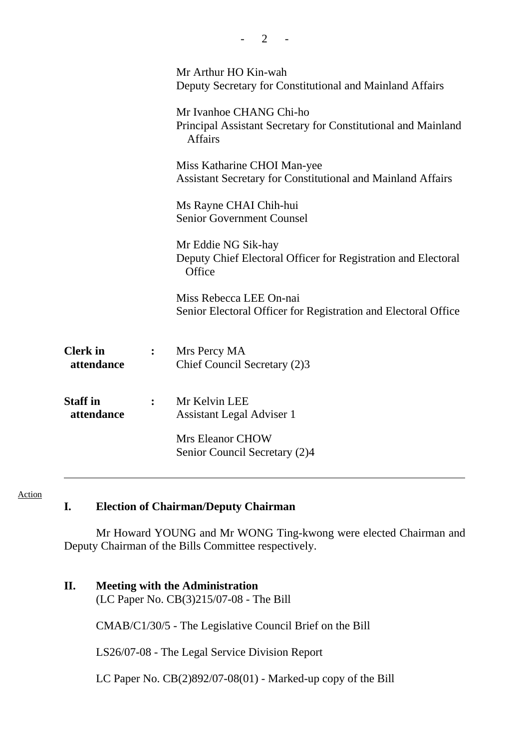|                               |                | Mr Arthur HO Kin-wah<br>Deputy Secretary for Constitutional and Mainland Affairs                           |  |
|-------------------------------|----------------|------------------------------------------------------------------------------------------------------------|--|
|                               |                | Mr Ivanhoe CHANG Chi-ho<br>Principal Assistant Secretary for Constitutional and Mainland<br><b>Affairs</b> |  |
|                               |                | Miss Katharine CHOI Man-yee<br><b>Assistant Secretary for Constitutional and Mainland Affairs</b>          |  |
|                               |                | Ms Rayne CHAI Chih-hui<br><b>Senior Government Counsel</b>                                                 |  |
|                               |                | Mr Eddie NG Sik-hay<br>Deputy Chief Electoral Officer for Registration and Electoral<br>Office             |  |
|                               |                | Miss Rebecca LEE On-nai<br>Senior Electoral Officer for Registration and Electoral Office                  |  |
| <b>Clerk</b> in<br>attendance | $\ddot{\cdot}$ | Mrs Percy MA<br>Chief Council Secretary (2)3                                                               |  |
| <b>Staff</b> in<br>attendance | $\ddot{\cdot}$ | Mr Kelvin LEE<br><b>Assistant Legal Adviser 1</b><br>Mrs Eleanor CHOW<br>Senior Council Secretary (2)4     |  |
|                               |                |                                                                                                            |  |

 $- 2 - 1$ 

#### Action

# **I. Election of Chairman/Deputy Chairman**

 Mr Howard YOUNG and Mr WONG Ting-kwong were elected Chairman and Deputy Chairman of the Bills Committee respectively.

### **II. Meeting with the Administration**

(LC Paper No. CB(3)215/07-08 - The Bill

CMAB/C1/30/5 - The Legislative Council Brief on the Bill

LS26/07-08 - The Legal Service Division Report

LC Paper No. CB(2)892/07-08(01) - Marked-up copy of the Bill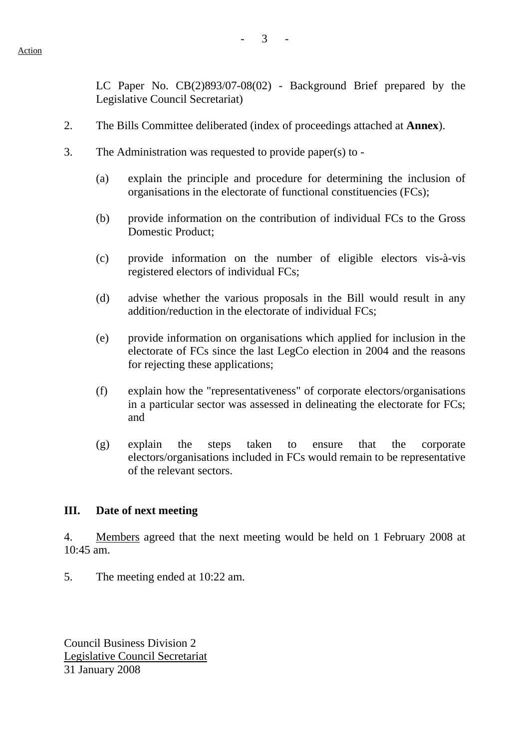LC Paper No. CB(2)893/07-08(02) - Background Brief prepared by the Legislative Council Secretariat)

- 2. The Bills Committee deliberated (index of proceedings attached at **Annex**).
- 3. The Administration was requested to provide paper(s) to
	- (a) explain the principle and procedure for determining the inclusion of organisations in the electorate of functional constituencies (FCs);
	- (b) provide information on the contribution of individual FCs to the Gross Domestic Product;
	- (c) provide information on the number of eligible electors vis-à-vis registered electors of individual FCs;
	- (d) advise whether the various proposals in the Bill would result in any addition/reduction in the electorate of individual FCs;
	- (e) provide information on organisations which applied for inclusion in the electorate of FCs since the last LegCo election in 2004 and the reasons for rejecting these applications;
	- (f) explain how the "representativeness" of corporate electors/organisations in a particular sector was assessed in delineating the electorate for FCs; and
	- (g) explain the steps taken to ensure that the corporate electors/organisations included in FCs would remain to be representative of the relevant sectors.

#### **III. Date of next meeting**

4. Members agreed that the next meeting would be held on 1 February 2008 at 10:45 am.

5. The meeting ended at 10:22 am.

Council Business Division 2 Legislative Council Secretariat 31 January 2008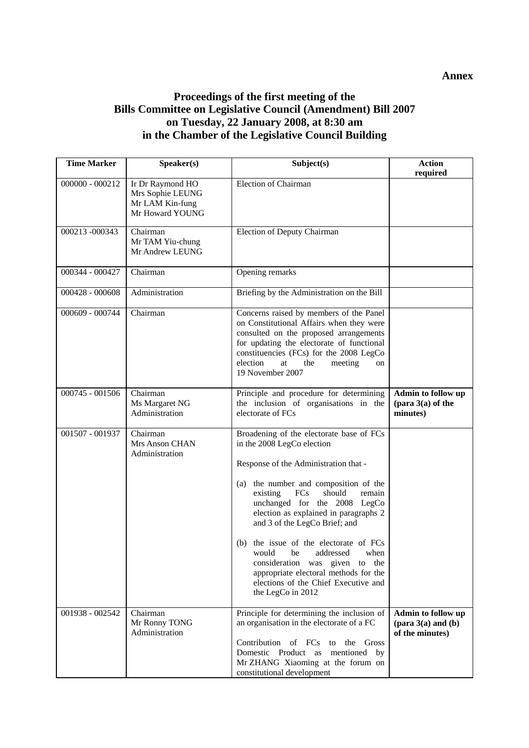## **Proceedings of the first meeting of the Bills Committee on Legislative Council (Amendment) Bill 2007 on Tuesday, 22 January 2008, at 8:30 am in the Chamber of the Legislative Council Building**

| <b>Time Marker</b> | Speaker(s)                                                                 | Subject(s)                                                                                                                                                                                                                                                                                                                                                                                                                                                                                                                            | <b>Action</b><br>required                                                       |
|--------------------|----------------------------------------------------------------------------|---------------------------------------------------------------------------------------------------------------------------------------------------------------------------------------------------------------------------------------------------------------------------------------------------------------------------------------------------------------------------------------------------------------------------------------------------------------------------------------------------------------------------------------|---------------------------------------------------------------------------------|
| $000000 - 000212$  | Ir Dr Raymond HO<br>Mrs Sophie LEUNG<br>Mr LAM Kin-fung<br>Mr Howard YOUNG | <b>Election of Chairman</b>                                                                                                                                                                                                                                                                                                                                                                                                                                                                                                           |                                                                                 |
| 000213-000343      | Chairman<br>Mr TAM Yiu-chung<br>Mr Andrew LEUNG                            | Election of Deputy Chairman                                                                                                                                                                                                                                                                                                                                                                                                                                                                                                           |                                                                                 |
| 000344 - 000427    | Chairman                                                                   | Opening remarks                                                                                                                                                                                                                                                                                                                                                                                                                                                                                                                       |                                                                                 |
| 000428 - 000608    | Administration                                                             | Briefing by the Administration on the Bill                                                                                                                                                                                                                                                                                                                                                                                                                                                                                            |                                                                                 |
| 000609 - 000744    | Chairman                                                                   | Concerns raised by members of the Panel<br>on Constitutional Affairs when they were<br>consulted on the proposed arrangements<br>for updating the electorate of functional<br>constituencies (FCs) for the 2008 LegCo<br>election<br>at<br>the<br>meeting<br>on<br>19 November 2007                                                                                                                                                                                                                                                   |                                                                                 |
| 000745 - 001506    | Chairman<br>Ms Margaret NG<br>Administration                               | Principle and procedure for determining<br>the inclusion of organisations in the<br>electorate of FCs                                                                                                                                                                                                                                                                                                                                                                                                                                 | Admin to follow up<br>$(\text{para } 3(a) \text{ of the})$<br>minutes)          |
| 001507 - 001937    | Chairman<br>Mrs Anson CHAN<br>Administration                               | Broadening of the electorate base of FCs<br>in the 2008 LegCo election<br>Response of the Administration that -<br>the number and composition of the<br>(a)<br>existing<br>FCs<br>should<br>remain<br>unchanged for the 2008 LegCo<br>election as explained in paragraphs 2<br>and 3 of the LegCo Brief; and<br>the issue of the electorate of FCs<br>(b)<br>would<br>be<br>addressed<br>when<br>consideration was given to the<br>appropriate electoral methods for the<br>elections of the Chief Executive and<br>the LegCo in 2012 |                                                                                 |
| 001938 - 002542    | Chairman<br>Mr Ronny TONG<br>Administration                                | Principle for determining the inclusion of<br>an organisation in the electorate of a FC<br>Contribution of FCs<br>the<br>Gross<br>to<br>Domestic Product as mentioned by<br>Mr ZHANG Xiaoming at the forum on<br>constitutional development                                                                                                                                                                                                                                                                                           | Admin to follow up<br>$(\text{para } 3(a) \text{ and } (b))$<br>of the minutes) |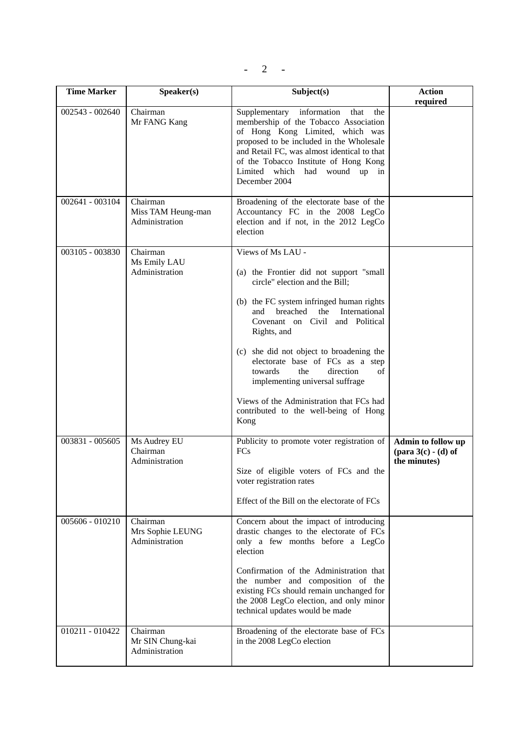|--|

| <b>Time Marker</b> | Speaker(s)                                       | Subject(s)                                                                                                                                                                                                                                                                                                                                                                                                                                                                                | <b>Action</b><br>required                                                    |
|--------------------|--------------------------------------------------|-------------------------------------------------------------------------------------------------------------------------------------------------------------------------------------------------------------------------------------------------------------------------------------------------------------------------------------------------------------------------------------------------------------------------------------------------------------------------------------------|------------------------------------------------------------------------------|
| $002543 - 002640$  | Chairman<br>Mr FANG Kang                         | Supplementary information<br>that<br>the<br>membership of the Tobacco Association<br>of Hong Kong Limited, which was<br>proposed to be included in the Wholesale<br>and Retail FC, was almost identical to that<br>of the Tobacco Institute of Hong Kong<br>Limited which had wound up in<br>December 2004                                                                                                                                                                                |                                                                              |
| 002641 - 003104    | Chairman<br>Miss TAM Heung-man<br>Administration | Broadening of the electorate base of the<br>Accountancy FC in the 2008 LegCo<br>election and if not, in the 2012 LegCo<br>election                                                                                                                                                                                                                                                                                                                                                        |                                                                              |
| 003105 - 003830    | Chairman<br>Ms Emily LAU<br>Administration       | Views of Ms LAU -<br>(a) the Frontier did not support "small<br>circle" election and the Bill;<br>(b) the FC system infringed human rights<br>breached the<br>International<br>and<br>Covenant on Civil and Political<br>Rights, and<br>(c) she did not object to broadening the<br>electorate base of FCs as a step<br>the<br>direction<br>of<br>towards<br>implementing universal suffrage<br>Views of the Administration that FCs had<br>contributed to the well-being of Hong<br>Kong |                                                                              |
| 003831 - 005605    | Ms Audrey EU<br>Chairman<br>Administration       | Publicity to promote voter registration of<br><b>FCs</b><br>Size of eligible voters of FCs and the<br>voter registration rates<br>Effect of the Bill on the electorate of FCs                                                                                                                                                                                                                                                                                                             | Admin to follow up<br>$(\text{para } 3(c) - (d) \text{ of }$<br>the minutes) |
| 005606 - 010210    | Chairman<br>Mrs Sophie LEUNG<br>Administration   | Concern about the impact of introducing<br>drastic changes to the electorate of FCs<br>only a few months before a LegCo<br>election<br>Confirmation of the Administration that<br>the number and composition of the<br>existing FCs should remain unchanged for<br>the 2008 LegCo election, and only minor<br>technical updates would be made                                                                                                                                             |                                                                              |
| $010211 - 010422$  | Chairman<br>Mr SIN Chung-kai<br>Administration   | Broadening of the electorate base of FCs<br>in the 2008 LegCo election                                                                                                                                                                                                                                                                                                                                                                                                                    |                                                                              |